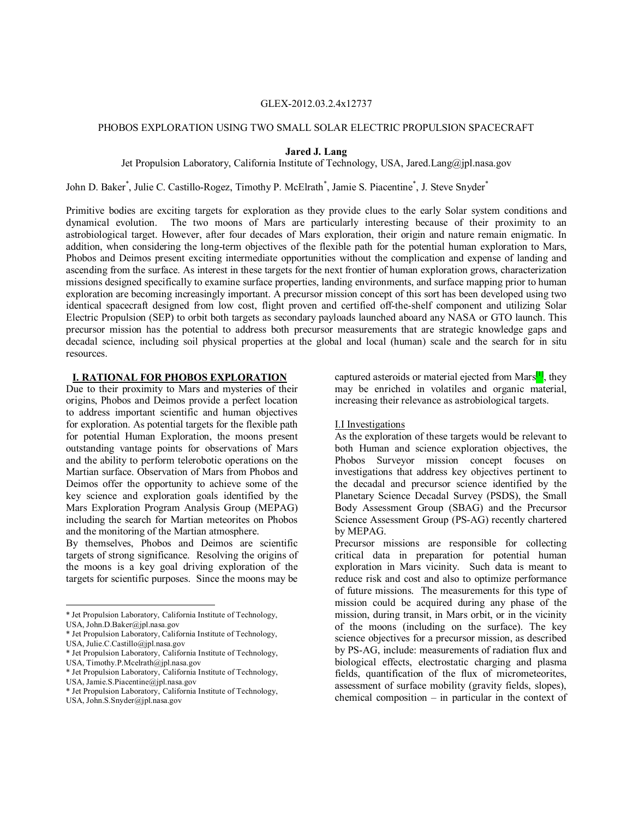#### GLEX-2012.03.2.4x12737

#### PHOBOS EXPLORATION USING TWO SMALL SOLAR ELECTRIC PROPULSION SPACECRAFT

**Jared J. Lang**

Jet Propulsion Laboratory, California Institute of Technology, USA, Jared.Lang@jpl.nasa.gov

John D. Baker<sup>\*</sup>, Julie C. Castillo-Rogez, Timothy P. McElrath<sup>\*</sup>, Jamie S. Piacentine<sup>\*</sup>, J. Steve Snyder<sup>\*</sup>

Primitive bodies are exciting targets for exploration as they provide clues to the early Solar system conditions and dynamical evolution. The two moons of Mars are particularly interesting because of their proximity to an astrobiological target. However, after four decades of Mars exploration, their origin and nature remain enigmatic. In addition, when considering the long-term objectives of the flexible path for the potential human exploration to Mars, Phobos and Deimos present exciting intermediate opportunities without the complication and expense of landing and ascending from the surface. As interest in these targets for the next frontier of human exploration grows, characterization missions designed specifically to examine surface properties, landing environments, and surface mapping prior to human exploration are becoming increasingly important. A precursor mission concept of this sort has been developed using two identical spacecraft designed from low cost, flight proven and certified off-the-shelf component and utilizing Solar Electric Propulsion (SEP) to orbit both targets as secondary payloads launched aboard any NASA or GTO launch. This precursor mission has the potential to address both precursor measurements that are strategic knowledge gaps and decadal science, including soil physical properties at the global and local (human) scale and the search for in situ resources.

# **I. RATIONAL FOR PHOBOS EXPLORATION[\\*](#page-0-0)**

Due to their proximity to Mars and mysteries of their origins, Phobos and Deimos provide a perfect location to address important scientific and human objectives for exploration. As potential targets for the flexible path for potential Human Exploration, the moons present outstanding vantage points for observations of Mars and the ability to perform telerobotic operations on the Martian surface. Observation of Mars from Phobos and Deimos offer the opportunity to achieve some of the key science and exploration goals identified by the Mars Exploration Program Analysis Group (MEPAG) including the search for Martian meteorites on Phobos and the monitoring of the Martian atmosphere.

By themselves, Phobos and Deimos are scientific targets of strong significance. Resolving the origins of the moons is a key goal driving exploration of the targets for scientific purposes. Since the moons may be

captured asteroids or material ejected from Mars $\left[1\right]$ , they may be enriched in volatiles and organic material, increasing their relevance as astrobiological targets.

### I.I Investigations

As the exploration of these targets would be relevant to both Human and science exploration objectives, the Phobos Surveyor mission concept focuses on investigations that address key objectives pertinent to the decadal and precursor science identified by the Planetary Science Decadal Survey (PSDS), the Small Body Assessment Group (SBAG) and the Precursor Science Assessment Group (PS-AG) recently chartered by MEPAG.

Precursor missions are responsible for collecting critical data in preparation for potential human exploration in Mars vicinity. Such data is meant to reduce risk and cost and also to optimize performance of future missions. The measurements for this type of mission could be acquired during any phase of the mission, during transit, in Mars orbit, or in the vicinity of the moons (including on the surface). The key science objectives for a precursor mission, as described by PS-AG, include: measurements of radiation flux and biological effects, electrostatic charging and plasma fields, quantification of the flux of micrometeorites, assessment of surface mobility (gravity fields, slopes), chemical composition – in particular in the context of

<sup>\*</sup> Jet Propulsion Laboratory, California Institute of Technology,

<span id="page-0-0"></span>USA, John.D.Baker@jpl.nasa.gov

<sup>\*</sup> Jet Propulsion Laboratory, California Institute of Technology, USA, Julie.C.Castillo@jpl.nasa.gov

<sup>\*</sup> Jet Propulsion Laboratory, California Institute of Technology, USA, Timothy.P.Mcelrath@jpl.nasa.gov

<sup>\*</sup> Jet Propulsion Laboratory, California Institute of Technology,

USA, Jamie.S.Piacentine@jpl.nasa.gov

<sup>\*</sup> Jet Propulsion Laboratory, California Institute of Technology, USA, John.S.Snyder@jpl.nasa.gov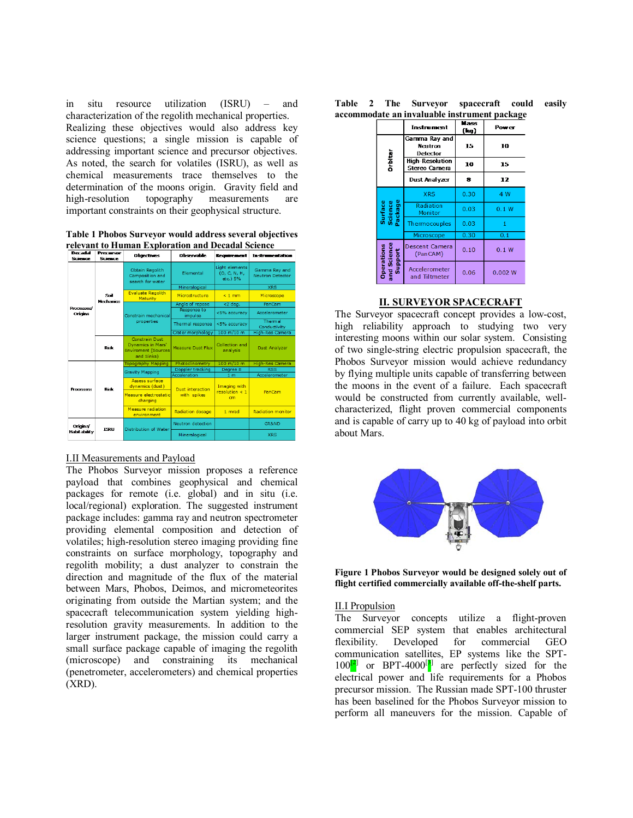in situ resource utilization (ISRU) – and characterization of the regolith mechanical properties. Realizing these objectives would also address key science questions; a single mission is capable of addressing important science and precursor objectives. As noted, the search for volatiles (ISRU), as well as chemical measurements trace themselves to the determination of the moons origin. Gravity field and high-resolution topography measurements are important constraints on their geophysical structure.

**Table 1 Phobos Surveyor would address several objectives relevant to Human Exploration and Decadal Science** 

| <b>Science</b>                  | .<br>Science.     | <b>Objectives</b>                                                                             | <b>Observable</b>       | <b>Requirement</b>                         | Instrumentation                          |  |
|---------------------------------|-------------------|-----------------------------------------------------------------------------------------------|-------------------------|--------------------------------------------|------------------------------------------|--|
|                                 | Soil<br>Mechanics | Obtain Regolith<br>Composition and<br>search for water                                        | Elemental               | Light elements<br>(O. C. N. H.<br>etc.) 5% | Gamma Rav and<br><b>Neutron Detector</b> |  |
|                                 |                   |                                                                                               | Mineralogical           |                                            | <b>XRS</b>                               |  |
|                                 |                   | <b>Evaluate Regolith</b><br>Maturity                                                          | <b>Microstructure</b>   | $< 1$ mm                                   | Microscope                               |  |
|                                 |                   | Constrain mechanical<br>properties                                                            | Angle of repose         | $<$ 2 deg.                                 | PanCam                                   |  |
| Processes/<br><b>Origins</b>    |                   |                                                                                               | Response to<br>impulse  | <5% accuracy                               | Accelerometer                            |  |
|                                 |                   |                                                                                               | Thermal response        | <5% accuracy                               | Thermal<br>Conductivity                  |  |
|                                 |                   |                                                                                               | Crater morphology       | $100 \text{ m}/10 \text{ m}$               | <b>High-Res Camera</b>                   |  |
|                                 | <b>Risk</b>       | <b>Constrain Dust</b><br><b>Dynamics in Mars'</b><br><b>Enviroment (Sources</b><br>and Sinks) | Measure Dust Flux       | Collection and<br>analysis                 | Dust Analyzer                            |  |
| <b>Processes</b>                | Risk              | Topography Mapping                                                                            | Photoclinometry         | $100 \text{ m}/10 \text{ m}$               | <b>High-Res Camera</b>                   |  |
|                                 |                   | <b>Gravity Mapping</b>                                                                        | Doppler tracking        | Degree 8                                   | <b>RSS</b>                               |  |
|                                 |                   |                                                                                               | Acceleration            | 1 <sub>m</sub>                             | Accelerometer                            |  |
|                                 |                   | Assess surface<br>dynamics (dust)                                                             | <b>Dust</b> interaction | Imaging with                               |                                          |  |
|                                 |                   | Measure electrostatic<br>charging                                                             | with spikes             | resolution < 1<br>cm                       | PanCam                                   |  |
|                                 |                   | Measure radiation<br>environment                                                              | <b>Radiation dosage</b> | 1 mrad                                     | <b>Radiation monitor</b>                 |  |
| Origins'<br><b>Habitability</b> | <b>ISRU</b>       | Distribution of Water                                                                         | Neutron detection       |                                            | <b>GR&amp;ND</b>                         |  |
|                                 |                   |                                                                                               | Mineralogical           |                                            | <b>XRS</b>                               |  |

### I.II Measurements and Payload

The Phobos Surveyor mission proposes a reference payload that combines geophysical and chemical packages for remote (i.e. global) and in situ (i.e. local/regional) exploration. The suggested instrument package includes: gamma ray and neutron spectrometer providing elemental composition and detection of volatiles; high-resolution stereo imaging providing fine constraints on surface morphology, topography and regolith mobility; a dust analyzer to constrain the direction and magnitude of the flux of the material between Mars, Phobos, Deimos, and micrometeorites originating from outside the Martian system; and the spacecraft telecommunication system yielding highresolution gravity measurements. In addition to the larger instrument package, the mission could carry a small surface package capable of imaging the regolith (microscope) and constraining its mechanical (penetrometer, accelerometers) and chemical properties (XRD).

| Table | $\overline{2}$ | The Surveyor | spacecraft could easily                      |  |
|-------|----------------|--------------|----------------------------------------------|--|
|       |                |              | accommodate an invaluable instrument package |  |

|                               | <b>Instrument</b>                    | Mass<br>(kq) | Power   |
|-------------------------------|--------------------------------------|--------------|---------|
|                               | Gamma Ray and<br>Neutron<br>Detector | 15           | 10      |
| Drbiter                       | High-Resolution<br>Stereo Camera     | 10           | 15      |
|                               | Dust Analyzer                        | 8            | 12      |
|                               | <b>XRS</b>                           | 0.30         | 4 W     |
| Surface<br>Science<br>Package | Radiation<br><b>Monitor</b>          | 0.03         | 0.1 W   |
|                               | Thermocouples                        | 0.03         | 1       |
|                               | Microscope                           | 0.30         | 0.1     |
| and Science<br>Support        | Descent Camera<br>(PanCAM)           | 0.10         | 0.1 W   |
| <b>Operations</b>             | Accelerometer<br>and Tiltmeter       | 0.06         | 0.002 W |

### **II. SURVEYOR SPACECRAFT**

The Surveyor spacecraft concept provides a low-cost, high reliability approach to studying two very interesting moons within our solar system. Consisting of two single-string electric propulsion spacecraft, the Phobos Surveyor mission would achieve redundancy by flying multiple units capable of transferring between the moons in the event of a failure. Each spacecraft would be constructed from currently available, wellcharacterized, flight proven commercial components and is capable of carry up to 40 kg of payload into orbit about Mars.



**Figure 1 Phobos Surveyor would be designed solely out of flight certified commercially available off-the-shelf parts.**

#### II.I Propulsion

The Surveyor concepts utilize a flight-proven commercial SEP system that enables architectural flexibility. Developed for commercial GEO communication satellites, EP systems like the SPT- $100^{2}$  or BPT-4000<sup>[3]</sup> are perfectly sized for the electrical power and life requirements for a Phobos precursor mission. The Russian made SPT-100 thruster has been baselined for the Phobos Surveyor mission to perform all maneuvers for the mission. Capable of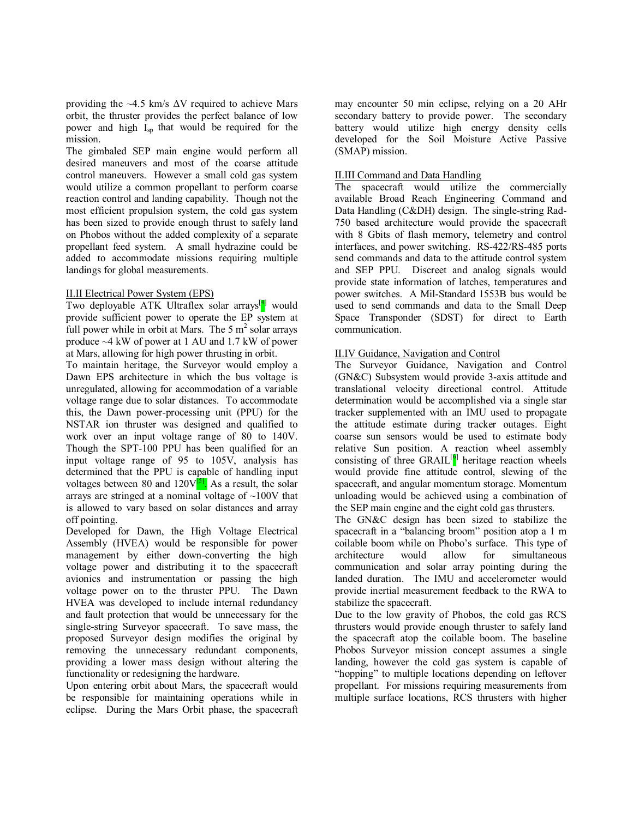providing the  $\sim$ 4.5 km/s  $\Delta V$  required to achieve Mars orbit, the thruster provides the perfect balance of low power and high  $I_{\rm SD}$  that would be required for the mission.

The gimbaled SEP main engine would perform all desired maneuvers and most of the coarse attitude control maneuvers. However a small cold gas system would utilize a common propellant to perform coarse reaction control and landing capability. Though not the most efficient propulsion system, the cold gas system has been sized to provide enough thrust to safely land on Phobos without the added complexity of a separate propellant feed system. A small hydrazine could be added to accommodate missions requiring multiple landings for global measurements.

### II.II Electrical Power System (EPS)

Two deployable ATK Ultraflex solar arrays<sup>[4]</sup> would provide sufficient power to operate the EP system at full power while in orbit at Mars. The  $5 \text{ m}^2$  solar arrays produce ~4 kW of power at 1 AU and 1.7 kW of power at Mars, allowing for high power thrusting in orbit.

To maintain heritage, the Surveyor would employ a Dawn EPS architecture in which the bus voltage is unregulated, allowing for accommodation of a variable voltage range due to solar distances. To accommodate this, the Dawn power-processing unit (PPU) for the NSTAR ion thruster was designed and qualified to work over an input voltage range of 80 to 140V. Though the SPT-100 PPU has been qualified for an input voltage range of 95 to 105V, analysis has determined that the PPU is capable of handling input voltages between 80 and  $120V^{5}$ . As a result, the solar arrays are stringed at a nominal voltage of  $\sim 100V$  that is allowed to vary based on solar distances and array off pointing.

Developed for Dawn, the High Voltage Electrical Assembly (HVEA) would be responsible for power management by either down-converting the high voltage power and distributing it to the spacecraft avionics and instrumentation or passing the high voltage power on to the thruster PPU. The Dawn HVEA was developed to include internal redundancy and fault protection that would be unnecessary for the single-string Surveyor spacecraft. To save mass, the proposed Surveyor design modifies the original by removing the unnecessary redundant components, providing a lower mass design without altering the functionality or redesigning the hardware.

Upon entering orbit about Mars, the spacecraft would be responsible for maintaining operations while in eclipse. During the Mars Orbit phase, the spacecraft

may encounter 50 min eclipse, relying on a 20 AHr secondary battery to provide power. The secondary battery would utilize high energy density cells developed for the Soil Moisture Active Passive (SMAP) mission.

# II.III Command and Data Handling

The spacecraft would utilize the commercially available Broad Reach Engineering Command and Data Handling (C&DH) design. The single-string Rad-750 based architecture would provide the spacecraft with 8 Gbits of flash memory, telemetry and control interfaces, and power switching. RS-422/RS-485 ports send commands and data to the attitude control system and SEP PPU. Discreet and analog signals would provide state information of latches, temperatures and power switches. A Mil-Standard 1553B bus would be used to send commands and data to the Small Deep Space Transponder (SDST) for direct to Earth communication.

# II.IV Guidance, Navigation and Control

The Surveyor Guidance, Navigation and Control (GN&C) Subsystem would provide 3-axis attitude and translational velocity directional control. Attitude determination would be accomplished via a single star tracker supplemented with an IMU used to propagate the attitude estimate during tracker outages. Eight coarse sun sensors would be used to estimate body relative Sun position. A reaction wheel assembly consisting of three  $\text{GRAIL}^{[6]}$  heritage reaction wheels would provide fine attitude control, slewing of the spacecraft, and angular momentum storage. Momentum unloading would be achieved using a combination of the SEP main engine and the eight cold gas thrusters.

The GN&C design has been sized to stabilize the spacecraft in a "balancing broom" position atop a 1 m coilable boom while on Phobo's surface. This type of architecture would allow for simultaneous communication and solar array pointing during the landed duration. The IMU and accelerometer would provide inertial measurement feedback to the RWA to stabilize the spacecraft.

Due to the low gravity of Phobos, the cold gas RCS thrusters would provide enough thruster to safely land the spacecraft atop the coilable boom. The baseline Phobos Surveyor mission concept assumes a single landing, however the cold gas system is capable of "hopping" to multiple locations depending on leftover propellant. For missions requiring measurements from multiple surface locations, RCS thrusters with higher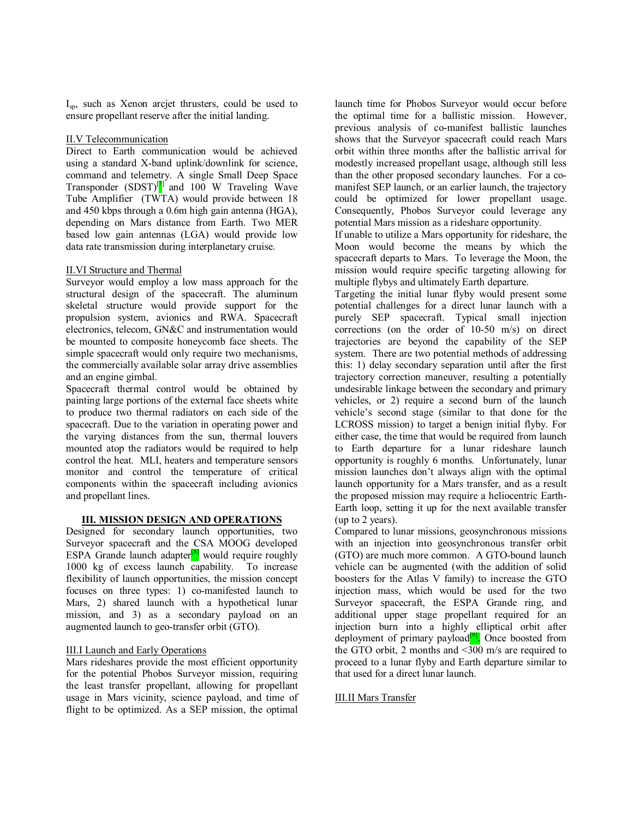Isp, such as Xenon arcjet thrusters, could be used to ensure propellant reserve after the initial landing.

## II.V Telecommunication

Direct to Earth communication would be achieved using a standard X-band uplink/downlink for science, command and telemetry. A single Small Deep Space Transponder  $(SDST)^{[7]}$  and 100 W Traveling Wave Tube Amplifier (TWTA) would provide between 18 and 450 kbps through a 0.6m high gain antenna (HGA), depending on Mars distance from Earth. Two MER based low gain antennas (LGA) would provide low data rate transmission during interplanetary cruise.

# II.VI Structure and Thermal

Surveyor would employ a low mass approach for the structural design of the spacecraft. The aluminum skeletal structure would provide support for the propulsion system, avionics and RWA. Spacecraft electronics, telecom, GN&C and instrumentation would be mounted to composite honeycomb face sheets. The simple spacecraft would only require two mechanisms, the commercially available solar array drive assemblies and an engine gimbal.

Spacecraft thermal control would be obtained by painting large portions of the external face sheets white to produce two thermal radiators on each side of the spacecraft. Due to the variation in operating power and the varying distances from the sun, thermal louvers mounted atop the radiators would be required to help control the heat. MLI, heaters and temperature sensors monitor and control the temperature of critical components within the spacecraft including avionics and propellant lines.

## **III. MISSION DESIGN AND OPERATIONS**

Designed for secondary launch opportunities, two Surveyor spacecraft and the CSA MOOG developed ESPA Grande launch adapter $\frac{8}{8}$  would require roughly 1000 kg of excess launch capability. To increase flexibility of launch opportunities, the mission concept focuses on three types: 1) co-manifested launch to Mars, 2) shared launch with a hypothetical lunar mission, and 3) as a secondary payload on an augmented launch to geo-transfer orbit (GTO).

### III.I Launch and Early Operations

Mars rideshares provide the most efficient opportunity for the potential Phobos Surveyor mission, requiring the least transfer propellant, allowing for propellant usage in Mars vicinity, science payload, and time of flight to be optimized. As a SEP mission, the optimal

launch time for Phobos Surveyor would occur before the optimal time for a ballistic mission. However, previous analysis of co-manifest ballistic launches shows that the Surveyor spacecraft could reach Mars orbit within three months after the ballistic arrival for modestly increased propellant usage, although still less than the other proposed secondary launches. For a comanifest SEP launch, or an earlier launch, the trajectory could be optimized for lower propellant usage. Consequently, Phobos Surveyor could leverage any potential Mars mission as a rideshare opportunity.

If unable to utilize a Mars opportunity for rideshare, the Moon would become the means by which the spacecraft departs to Mars. To leverage the Moon, the mission would require specific targeting allowing for multiple flybys and ultimately Earth departure.

Targeting the initial lunar flyby would present some potential challenges for a direct lunar launch with a purely SEP spacecraft. Typical small injection corrections (on the order of 10-50 m/s) on direct trajectories are beyond the capability of the SEP system. There are two potential methods of addressing this: 1) delay secondary separation until after the first trajectory correction maneuver, resulting a potentially undesirable linkage between the secondary and primary vehicles, or 2) require a second burn of the launch vehicle's second stage (similar to that done for the LCROSS mission) to target a benign initial flyby. For either case, the time that would be required from launch to Earth departure for a lunar rideshare launch opportunity is roughly 6 months. Unfortunately, lunar mission launches don't always align with the optimal launch opportunity for a Mars transfer, and as a result the proposed mission may require a heliocentric Earth-Earth loop, setting it up for the next available transfer (up to 2 years).

Compared to lunar missions, geosynchronous missions with an injection into geosynchronous transfer orbit (GTO) are much more common. A GTO-bound launch vehicle can be augmented (with the addition of solid boosters for the Atlas V family) to increase the GTO injection mass, which would be used for the two Surveyor spacecraft, the ESPA Grande ring, and additional upper stage propellant required for an injection burn into a highly elliptical orbit after deployment of primary payload<sup>[9]</sup>. Once boosted from the GTO orbit, 2 months and  $\leq$ 300 m/s are required to proceed to a lunar flyby and Earth departure similar to that used for a direct lunar launch.

# III.II Mars Transfer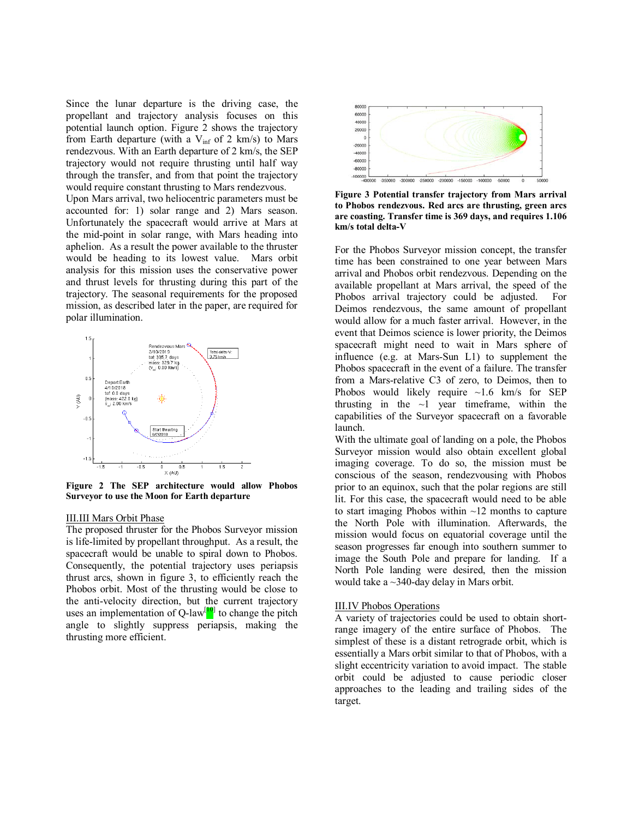Since the lunar departure is the driving case, the propellant and trajectory analysis focuses on this potential launch option. Figure 2 shows the trajectory from Earth departure (with a  $V_{\text{inf}}$  of 2 km/s) to Mars rendezvous. With an Earth departure of 2 km/s, the SEP trajectory would not require thrusting until half way through the transfer, and from that point the trajectory would require constant thrusting to Mars rendezvous.

Upon Mars arrival, two heliocentric parameters must be accounted for: 1) solar range and 2) Mars season. Unfortunately the spacecraft would arrive at Mars at the mid-point in solar range, with Mars heading into aphelion. As a result the power available to the thruster would be heading to its lowest value. Mars orbit analysis for this mission uses the conservative power and thrust levels for thrusting during this part of the trajectory. The seasonal requirements for the proposed mission, as described later in the paper, are required for polar illumination.



**Figure 2 The SEP architecture would allow Phobos Surveyor to use the Moon for Earth departure**

#### III.III Mars Orbit Phase

The proposed thruster for the Phobos Surveyor mission is life-limited by propellant throughput. As a result, the spacecraft would be unable to spiral down to Phobos. Consequently, the potential trajectory uses periapsis thrust arcs, shown in figure 3, to efficiently reach the Phobos orbit. Most of the thrusting would be close to the anti-velocity direction, but the current trajectory uses an implementation of Q-law<sup>[10]</sup> to change the pitch angle to slightly suppress periapsis, making the thrusting more efficient.



**Figure 3 Potential transfer trajectory from Mars arrival to Phobos rendezvous. Red arcs are thrusting, green arcs are coasting. Transfer time is 369 days, and requires 1.106 km/s total delta-V** 

For the Phobos Surveyor mission concept, the transfer time has been constrained to one year between Mars arrival and Phobos orbit rendezvous. Depending on the available propellant at Mars arrival, the speed of the Phobos arrival trajectory could be adjusted. For Deimos rendezvous, the same amount of propellant would allow for a much faster arrival. However, in the event that Deimos science is lower priority, the Deimos spacecraft might need to wait in Mars sphere of influence (e.g. at Mars-Sun L1) to supplement the Phobos spacecraft in the event of a failure. The transfer from a Mars-relative C3 of zero, to Deimos, then to Phobos would likely require  $\sim$ 1.6 km/s for SEP thrusting in the  $\sim$ 1 year timeframe, within the capabilities of the Surveyor spacecraft on a favorable launch.

With the ultimate goal of landing on a pole, the Phobos Surveyor mission would also obtain excellent global imaging coverage. To do so, the mission must be conscious of the season, rendezvousing with Phobos prior to an equinox, such that the polar regions are still lit. For this case, the spacecraft would need to be able to start imaging Phobos within  $\sim$ 12 months to capture the North Pole with illumination. Afterwards, the mission would focus on equatorial coverage until the season progresses far enough into southern summer to image the South Pole and prepare for landing. If a North Pole landing were desired, then the mission would take a ~340-day delay in Mars orbit.

#### III.IV Phobos Operations

A variety of trajectories could be used to obtain shortrange imagery of the entire surface of Phobos. The simplest of these is a distant retrograde orbit, which is essentially a Mars orbit similar to that of Phobos, with a slight eccentricity variation to avoid impact. The stable orbit could be adjusted to cause periodic closer approaches to the leading and trailing sides of the target.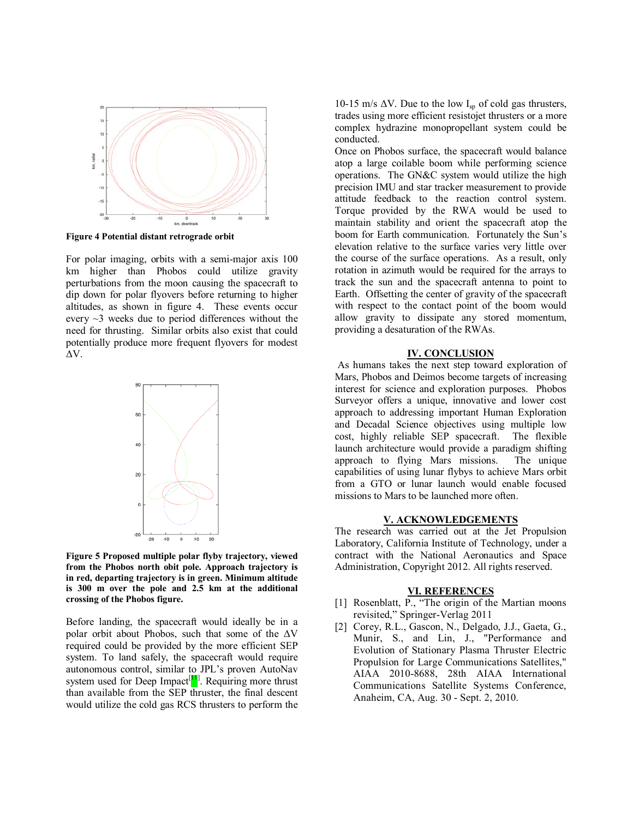

**Figure 4 Potential distant retrograde orbit**

For polar imaging, orbits with a semi-major axis 100 km higher than Phobos could utilize gravity perturbations from the moon causing the spacecraft to dip down for polar flyovers before returning to higher altitudes, as shown in figure 4. These events occur every  $\sim$ 3 weeks due to period differences without the need for thrusting. Similar orbits also exist that could potentially produce more frequent flyovers for modest ΔV.



**Figure 5 Proposed multiple polar flyby trajectory, viewed from the Phobos north obit pole. Approach trajectory is in red, departing trajectory is in green. Minimum altitude is 300 m over the pole and 2.5 km at the additional crossing of the Phobos figure.**

Before landing, the spacecraft would ideally be in a polar orbit about Phobos, such that some of the  $\Delta V$ required could be provided by the more efficient SEP system. To land safely, the spacecraft would require autonomous control, similar to JPL's proven AutoNav system used for Deep Impact<sup>[11]</sup>. Requiring more thrust than available from the SEP thruster, the final descent would utilize the cold gas RCS thrusters to perform the

10-15 m/s  $\Delta V$ . Due to the low I<sub>sp</sub> of cold gas thrusters, trades using more efficient resistojet thrusters or a more complex hydrazine monopropellant system could be conducted.

Once on Phobos surface, the spacecraft would balance atop a large coilable boom while performing science operations. The GN&C system would utilize the high precision IMU and star tracker measurement to provide attitude feedback to the reaction control system. Torque provided by the RWA would be used to maintain stability and orient the spacecraft atop the boom for Earth communication. Fortunately the Sun's elevation relative to the surface varies very little over the course of the surface operations. As a result, only rotation in azimuth would be required for the arrays to track the sun and the spacecraft antenna to point to Earth. Offsetting the center of gravity of the spacecraft with respect to the contact point of the boom would allow gravity to dissipate any stored momentum, providing a desaturation of the RWAs.

#### **IV. CONCLUSION**

As humans takes the next step toward exploration of Mars, Phobos and Deimos become targets of increasing interest for science and exploration purposes. Phobos Surveyor offers a unique, innovative and lower cost approach to addressing important Human Exploration and Decadal Science objectives using multiple low cost, highly reliable SEP spacecraft. The flexible launch architecture would provide a paradigm shifting approach to flying Mars missions. The unique capabilities of using lunar flybys to achieve Mars orbit from a GTO or lunar launch would enable focused missions to Mars to be launched more often.

#### **V. ACKNOWLEDGEMENTS**

The research was carried out at the Jet Propulsion Laboratory, California Institute of Technology, under a contract with the National Aeronautics and Space Administration, Copyright 2012. All rights reserved.

#### **VI. REFERENCES**

- [1] Rosenblatt, P., "The origin of the Martian moons revisited," Springer-Verlag 2011
- [2] Corey, R.L., Gascon, N., Delgado, J.J., Gaeta, G., Munir, S., and Lin, J., "Performance and Evolution of Stationary Plasma Thruster Electric Propulsion for Large Communications Satellites," AIAA 2010-8688, 28th AIAA International Communications Satellite Systems Conference, Anaheim, CA, Aug. 30 - Sept. 2, 2010.